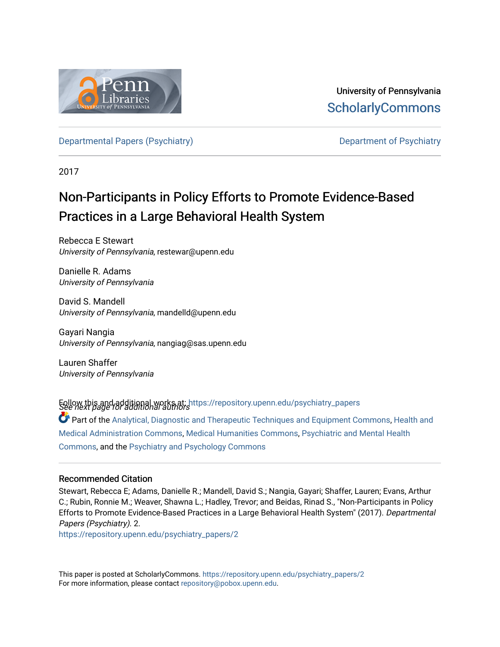

University of Pennsylvania **ScholarlyCommons** 

[Departmental Papers \(Psychiatry\)](https://repository.upenn.edu/psychiatry_papers) [Department of Psychiatry](https://repository.upenn.edu/psychiatry) Department of Psychiatry

2017

# Non-Participants in Policy Efforts to Promote Evidence-Based Practices in a Large Behavioral Health System

Rebecca E Stewart University of Pennsylvania, restewar@upenn.edu

Danielle R. Adams University of Pennsylvania

David S. Mandell University of Pennsylvania, mandelld@upenn.edu

Gayari Nangia University of Pennsylvania, nangiag@sas.upenn.edu

Lauren Shaffer University of Pennsylvania

Follow this and additional works at: [https://repository.upenn.edu/psychiatry\\_papers](https://repository.upenn.edu/psychiatry_papers?utm_source=repository.upenn.edu%2Fpsychiatry_papers%2F2&utm_medium=PDF&utm_campaign=PDFCoverPages)<br>See next page for additional authors

Part of the [Analytical, Diagnostic and Therapeutic Techniques and Equipment Commons](http://network.bepress.com/hgg/discipline/899?utm_source=repository.upenn.edu%2Fpsychiatry_papers%2F2&utm_medium=PDF&utm_campaign=PDFCoverPages), [Health and](http://network.bepress.com/hgg/discipline/663?utm_source=repository.upenn.edu%2Fpsychiatry_papers%2F2&utm_medium=PDF&utm_campaign=PDFCoverPages)  [Medical Administration Commons,](http://network.bepress.com/hgg/discipline/663?utm_source=repository.upenn.edu%2Fpsychiatry_papers%2F2&utm_medium=PDF&utm_campaign=PDFCoverPages) [Medical Humanities Commons](http://network.bepress.com/hgg/discipline/1303?utm_source=repository.upenn.edu%2Fpsychiatry_papers%2F2&utm_medium=PDF&utm_campaign=PDFCoverPages), [Psychiatric and Mental Health](http://network.bepress.com/hgg/discipline/711?utm_source=repository.upenn.edu%2Fpsychiatry_papers%2F2&utm_medium=PDF&utm_campaign=PDFCoverPages) [Commons](http://network.bepress.com/hgg/discipline/711?utm_source=repository.upenn.edu%2Fpsychiatry_papers%2F2&utm_medium=PDF&utm_campaign=PDFCoverPages), and the [Psychiatry and Psychology Commons](http://network.bepress.com/hgg/discipline/908?utm_source=repository.upenn.edu%2Fpsychiatry_papers%2F2&utm_medium=PDF&utm_campaign=PDFCoverPages) 

# Recommended Citation

Stewart, Rebecca E; Adams, Danielle R.; Mandell, David S.; Nangia, Gayari; Shaffer, Lauren; Evans, Arthur C.; Rubin, Ronnie M.; Weaver, Shawna L.; Hadley, Trevor; and Beidas, Rinad S., "Non-Participants in Policy Efforts to Promote Evidence-Based Practices in a Large Behavioral Health System" (2017). Departmental Papers (Psychiatry). 2.

[https://repository.upenn.edu/psychiatry\\_papers/2](https://repository.upenn.edu/psychiatry_papers/2?utm_source=repository.upenn.edu%2Fpsychiatry_papers%2F2&utm_medium=PDF&utm_campaign=PDFCoverPages) 

This paper is posted at ScholarlyCommons. [https://repository.upenn.edu/psychiatry\\_papers/2](https://repository.upenn.edu/psychiatry_papers/2) For more information, please contact [repository@pobox.upenn.edu.](mailto:repository@pobox.upenn.edu)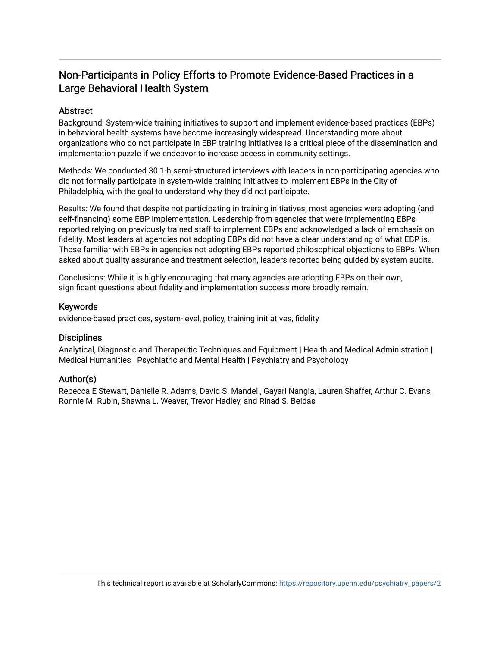# Non-Participants in Policy Efforts to Promote Evidence-Based Practices in a Large Behavioral Health System

# **Abstract**

Background: System-wide training initiatives to support and implement evidence-based practices (EBPs) in behavioral health systems have become increasingly widespread. Understanding more about organizations who do not participate in EBP training initiatives is a critical piece of the dissemination and implementation puzzle if we endeavor to increase access in community settings.

Methods: We conducted 30 1-h semi-structured interviews with leaders in non-participating agencies who did not formally participate in system-wide training initiatives to implement EBPs in the City of Philadelphia, with the goal to understand why they did not participate.

Results: We found that despite not participating in training initiatives, most agencies were adopting (and self-financing) some EBP implementation. Leadership from agencies that were implementing EBPs reported relying on previously trained staff to implement EBPs and acknowledged a lack of emphasis on fidelity. Most leaders at agencies not adopting EBPs did not have a clear understanding of what EBP is. Those familiar with EBPs in agencies not adopting EBPs reported philosophical objections to EBPs. When asked about quality assurance and treatment selection, leaders reported being guided by system audits.

Conclusions: While it is highly encouraging that many agencies are adopting EBPs on their own, significant questions about fidelity and implementation success more broadly remain.

# Keywords

evidence-based practices, system-level, policy, training initiatives, fidelity

# **Disciplines**

Analytical, Diagnostic and Therapeutic Techniques and Equipment | Health and Medical Administration | Medical Humanities | Psychiatric and Mental Health | Psychiatry and Psychology

# Author(s)

Rebecca E Stewart, Danielle R. Adams, David S. Mandell, Gayari Nangia, Lauren Shaffer, Arthur C. Evans, Ronnie M. Rubin, Shawna L. Weaver, Trevor Hadley, and Rinad S. Beidas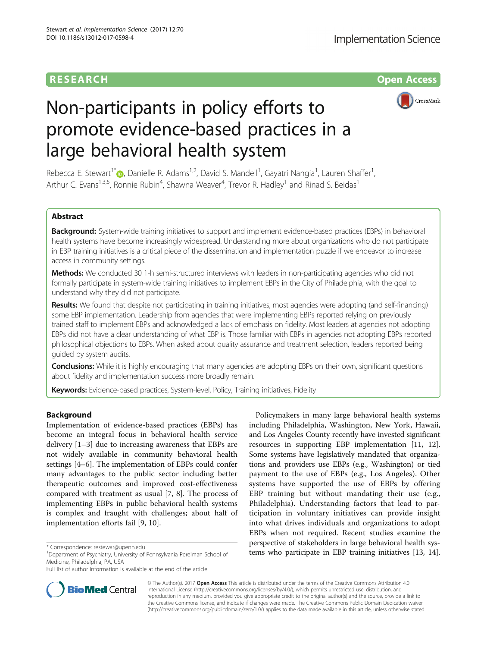# RESEARCH **RESEARCH CONSUMING ACCESS**



# Non-participants in policy efforts to promote evidence-based practices in a large behavioral health system

Rebecca E. Stewart<sup>1[\\*](http://orcid.org/0000-0002-6453-6715)</sup> (), Danielle R. Adams<sup>1,2</sup>, David S. Mandell<sup>1</sup>, Gayatri Nangia<sup>1</sup>, Lauren Shaffer<sup>1</sup> , Arthur C. Evans<sup>1,3,5</sup>, Ronnie Rubin<sup>4</sup>, Shawna Weaver<sup>4</sup>, Trevor R. Hadley<sup>1</sup> and Rinad S. Beidas<sup>1</sup>

### Abstract

Background: System-wide training initiatives to support and implement evidence-based practices (EBPs) in behavioral health systems have become increasingly widespread. Understanding more about organizations who do not participate in EBP training initiatives is a critical piece of the dissemination and implementation puzzle if we endeavor to increase access in community settings.

Methods: We conducted 30 1-h semi-structured interviews with leaders in non-participating agencies who did not formally participate in system-wide training initiatives to implement EBPs in the City of Philadelphia, with the goal to understand why they did not participate.

Results: We found that despite not participating in training initiatives, most agencies were adopting (and self-financing) some EBP implementation. Leadership from agencies that were implementing EBPs reported relying on previously trained staff to implement EBPs and acknowledged a lack of emphasis on fidelity. Most leaders at agencies not adopting EBPs did not have a clear understanding of what EBP is. Those familiar with EBPs in agencies not adopting EBPs reported philosophical objections to EBPs. When asked about quality assurance and treatment selection, leaders reported being guided by system audits.

**Conclusions:** While it is highly encouraging that many agencies are adopting EBPs on their own, significant questions about fidelity and implementation success more broadly remain.

Keywords: Evidence-based practices, System-level, Policy, Training initiatives, Fidelity

#### Background

Implementation of evidence-based practices (EBPs) has become an integral focus in behavioral health service delivery [[1](#page-8-0)–[3](#page-8-0)] due to increasing awareness that EBPs are not widely available in community behavioral health settings [[4](#page-8-0)–[6\]](#page-8-0). The implementation of EBPs could confer many advantages to the public sector including better therapeutic outcomes and improved cost-effectiveness compared with treatment as usual [\[7, 8](#page-8-0)]. The process of implementing EBPs in public behavioral health systems is complex and fraught with challenges; about half of implementation efforts fail [[9, 10\]](#page-8-0).

Full list of author information is available at the end of the article



**BioMed Central** 

© The Author(s). 2017 **Open Access** This article is distributed under the terms of the Creative Commons Attribution 4.0 International License [\(http://creativecommons.org/licenses/by/4.0/](http://creativecommons.org/licenses/by/4.0/)), which permits unrestricted use, distribution, and reproduction in any medium, provided you give appropriate credit to the original author(s) and the source, provide a link to the Creative Commons license, and indicate if changes were made. The Creative Commons Public Domain Dedication waiver [\(http://creativecommons.org/publicdomain/zero/1.0/](http://creativecommons.org/publicdomain/zero/1.0/)) applies to the data made available in this article, unless otherwise stated.

<sup>&</sup>lt;sup>1</sup>Department of Psychiatry, University of Pennsylvania Perelman School of Medicine, Philadelphia, PA, USA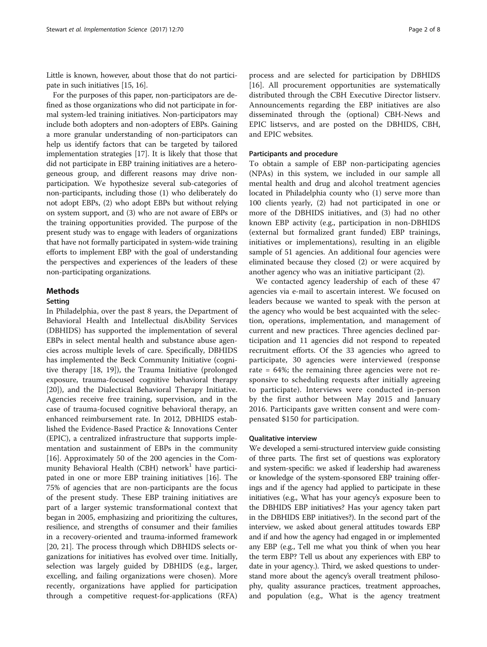Little is known, however, about those that do not participate in such initiatives [\[15](#page-8-0), [16](#page-8-0)].

For the purposes of this paper, non-participators are defined as those organizations who did not participate in formal system-led training initiatives. Non-participators may include both adopters and non-adopters of EBPs. Gaining a more granular understanding of non-participators can help us identify factors that can be targeted by tailored implementation strategies [[17](#page-8-0)]. It is likely that those that did not participate in EBP training initiatives are a heterogeneous group, and different reasons may drive nonparticipation. We hypothesize several sub-categories of non-participants, including those (1) who deliberately do not adopt EBPs, (2) who adopt EBPs but without relying on system support, and (3) who are not aware of EBPs or the training opportunities provided. The purpose of the present study was to engage with leaders of organizations that have not formally participated in system-wide training efforts to implement EBP with the goal of understanding the perspectives and experiences of the leaders of these non-participating organizations.

#### Methods

#### Setting

In Philadelphia, over the past 8 years, the Department of Behavioral Health and Intellectual disAbility Services (DBHIDS) has supported the implementation of several EBPs in select mental health and substance abuse agencies across multiple levels of care. Specifically, DBHIDS has implemented the Beck Community Initiative (cognitive therapy [[18](#page-8-0), [19\]](#page-8-0)), the Trauma Initiative (prolonged exposure, trauma-focused cognitive behavioral therapy [[20\]](#page-8-0)), and the Dialectical Behavioral Therapy Initiative. Agencies receive free training, supervision, and in the case of trauma-focused cognitive behavioral therapy, an enhanced reimbursement rate. In 2012, DBHIDS established the Evidence-Based Practice & Innovations Center (EPIC), a centralized infrastructure that supports implementation and sustainment of EBPs in the community [[16\]](#page-8-0). Approximately 50 of the 200 agencies in the Community Behavioral Health (CBH) network<sup>1</sup> have participated in one or more EBP training initiatives [\[16](#page-8-0)]. The 75% of agencies that are non-participants are the focus of the present study. These EBP training initiatives are part of a larger systemic transformational context that began in 2005, emphasizing and prioritizing the cultures, resilience, and strengths of consumer and their families in a recovery-oriented and trauma-informed framework [[20, 21\]](#page-8-0). The process through which DBHIDS selects organizations for initiatives has evolved over time. Initially, selection was largely guided by DBHIDS (e.g., larger, excelling, and failing organizations were chosen). More recently, organizations have applied for participation through a competitive request-for-applications (RFA)

process and are selected for participation by DBHIDS [[16\]](#page-8-0). All procurement opportunities are systematically distributed through the CBH Executive Director listserv. Announcements regarding the EBP initiatives are also disseminated through the (optional) CBH-News and EPIC listservs, and are posted on the DBHIDS, CBH, and EPIC websites.

#### Participants and procedure

To obtain a sample of EBP non-participating agencies (NPAs) in this system, we included in our sample all mental health and drug and alcohol treatment agencies located in Philadelphia county who (1) serve more than 100 clients yearly, (2) had not participated in one or more of the DBHIDS initiatives, and (3) had no other known EBP activity (e.g., participation in non-DBHIDS (external but formalized grant funded) EBP trainings, initiatives or implementations), resulting in an eligible sample of 51 agencies. An additional four agencies were eliminated because they closed (2) or were acquired by another agency who was an initiative participant (2).

We contacted agency leadership of each of these 47 agencies via e-mail to ascertain interest. We focused on leaders because we wanted to speak with the person at the agency who would be best acquainted with the selection, operations, implementation, and management of current and new practices. Three agencies declined participation and 11 agencies did not respond to repeated recruitment efforts. Of the 33 agencies who agreed to participate, 30 agencies were interviewed (response rate = 64%; the remaining three agencies were not responsive to scheduling requests after initially agreeing to participate). Interviews were conducted in-person by the first author between May 2015 and January 2016. Participants gave written consent and were compensated \$150 for participation.

#### Qualitative interview

We developed a semi-structured interview guide consisting of three parts. The first set of questions was exploratory and system-specific: we asked if leadership had awareness or knowledge of the system-sponsored EBP training offerings and if the agency had applied to participate in these initiatives (e.g., What has your agency's exposure been to the DBHIDS EBP initiatives? Has your agency taken part in the DBHIDS EBP initiatives?). In the second part of the interview, we asked about general attitudes towards EBP and if and how the agency had engaged in or implemented any EBP (e.g., Tell me what you think of when you hear the term EBP? Tell us about any experiences with EBP to date in your agency.). Third, we asked questions to understand more about the agency's overall treatment philosophy, quality assurance practices, treatment approaches, and population (e.g., What is the agency treatment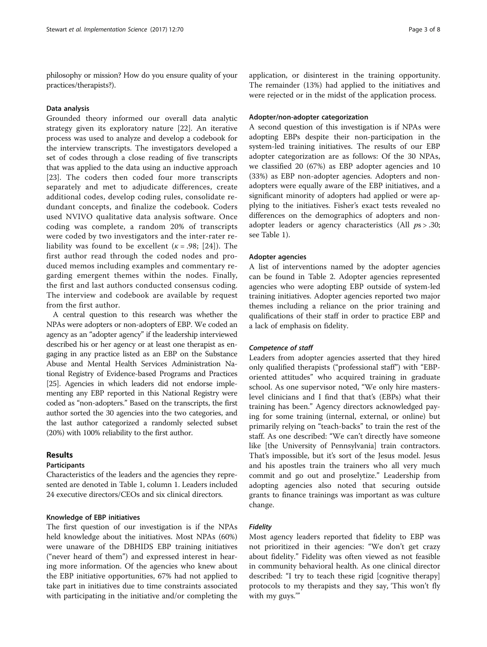philosophy or mission? How do you ensure quality of your practices/therapists?).

#### Data analysis

Grounded theory informed our overall data analytic strategy given its exploratory nature [\[22](#page-8-0)]. An iterative process was used to analyze and develop a codebook for the interview transcripts. The investigators developed a set of codes through a close reading of five transcripts that was applied to the data using an inductive approach [[23\]](#page-8-0). The coders then coded four more transcripts separately and met to adjudicate differences, create additional codes, develop coding rules, consolidate redundant concepts, and finalize the codebook. Coders used NVIVO qualitative data analysis software. Once coding was complete, a random 20% of transcripts were coded by two investigators and the inter-rater reliability was found to be excellent ( $\kappa$  = .98; [[24\]](#page-8-0)). The first author read through the coded nodes and produced memos including examples and commentary regarding emergent themes within the nodes. Finally, the first and last authors conducted consensus coding. The interview and codebook are available by request from the first author.

A central question to this research was whether the NPAs were adopters or non-adopters of EBP. We coded an agency as an "adopter agency" if the leadership interviewed described his or her agency or at least one therapist as engaging in any practice listed as an EBP on the Substance Abuse and Mental Health Services Administration National Registry of Evidence-based Programs and Practices [[25](#page-8-0)]. Agencies in which leaders did not endorse implementing any EBP reported in this National Registry were coded as "non-adopters." Based on the transcripts, the first author sorted the 30 agencies into the two categories, and the last author categorized a randomly selected subset (20%) with 100% reliability to the first author.

#### Results

#### Participants

Characteristics of the leaders and the agencies they represented are denoted in Table [1](#page-5-0), column 1. Leaders included 24 executive directors/CEOs and six clinical directors.

#### Knowledge of EBP initiatives

The first question of our investigation is if the NPAs held knowledge about the initiatives. Most NPAs (60%) were unaware of the DBHIDS EBP training initiatives ("never heard of them") and expressed interest in hearing more information. Of the agencies who knew about the EBP initiative opportunities, 67% had not applied to take part in initiatives due to time constraints associated with participating in the initiative and/or completing the

application, or disinterest in the training opportunity. The remainder (13%) had applied to the initiatives and were rejected or in the midst of the application process.

#### Adopter/non-adopter categorization

A second question of this investigation is if NPAs were adopting EBPs despite their non-participation in the system-led training initiatives. The results of our EBP adopter categorization are as follows: Of the 30 NPAs, we classified 20 (67%) as EBP adopter agencies and 10 (33%) as EBP non-adopter agencies. Adopters and nonadopters were equally aware of the EBP initiatives, and a significant minority of adopters had applied or were applying to the initiatives. Fisher's exact tests revealed no differences on the demographics of adopters and nonadopter leaders or agency characteristics (All  $ps > .30$ ; see Table [1\)](#page-5-0).

#### Adopter agencies

A list of interventions named by the adopter agencies can be found in Table [2](#page-5-0). Adopter agencies represented agencies who were adopting EBP outside of system-led training initiatives. Adopter agencies reported two major themes including a reliance on the prior training and qualifications of their staff in order to practice EBP and a lack of emphasis on fidelity.

#### Competence of staff

Leaders from adopter agencies asserted that they hired only qualified therapists ("professional staff") with "EBPoriented attitudes" who acquired training in graduate school. As one supervisor noted, "We only hire masterslevel clinicians and I find that that's (EBPs) what their training has been." Agency directors acknowledged paying for some training (internal, external, or online) but primarily relying on "teach-backs" to train the rest of the staff. As one described: "We can't directly have someone like [the University of Pennsylvania] train contractors. That's impossible, but it's sort of the Jesus model. Jesus and his apostles train the trainers who all very much commit and go out and proselytize." Leadership from adopting agencies also noted that securing outside grants to finance trainings was important as was culture change.

#### Fidelity

Most agency leaders reported that fidelity to EBP was not prioritized in their agencies: "We don't get crazy about fidelity." Fidelity was often viewed as not feasible in community behavioral health. As one clinical director described: "I try to teach these rigid [cognitive therapy] protocols to my therapists and they say, 'This won't fly with my guys.'"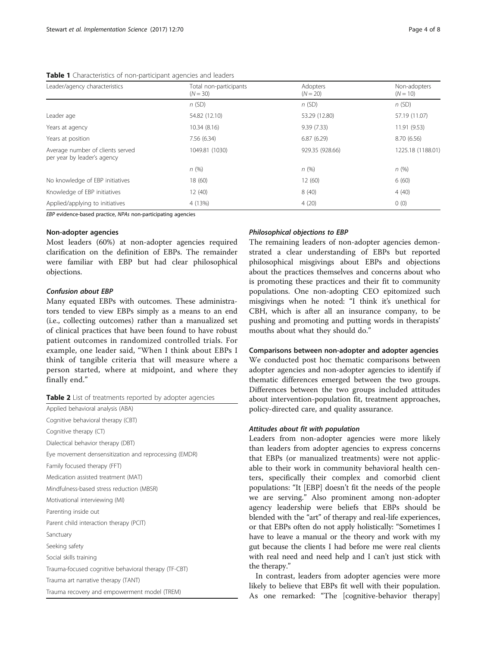| Leader/agency characteristics                                   | Total non-participants<br>$(N = 30)$ | Adopters<br>$(N = 20)$ | Non-adopters<br>$(N = 10)$ |
|-----------------------------------------------------------------|--------------------------------------|------------------------|----------------------------|
|                                                                 | $n$ (SD)                             | $n$ (SD)               | $n$ (SD)                   |
| Leader age                                                      | 54.82 (12.10)                        | 53.29 (12.80)          | 57.19 (11.07)              |
| Years at agency                                                 | 10.34 (8.16)                         | 9.39(7.33)             | 11.91 (9.53)               |
| Years at position                                               | 7.56(6.34)                           | 6.87(6.29)             | 8.70 (6.56)                |
| Average number of clients served<br>per year by leader's agency | 1049.81 (1030)                       | 929.35 (928.66)        | 1225.18 (1188.01)          |
|                                                                 | n(%)                                 | n(%)                   | n(%)                       |
| No knowledge of EBP initiatives                                 | 18 (60)                              | 12(60)                 | 6(60)                      |
| Knowledge of EBP initiatives                                    | 12(40)                               | 8(40)                  | 4(40)                      |
| Applied/applying to initiatives                                 | 4 (13%)                              | 4(20)                  | 0(0)                       |
|                                                                 |                                      |                        |                            |

<span id="page-5-0"></span>

|  |  | Table 1 Characteristics of non-participant agencies and leaders |  |  |
|--|--|-----------------------------------------------------------------|--|--|
|--|--|-----------------------------------------------------------------|--|--|

EBP evidence-based practice, NPAs non-participating agencies

#### Non-adopter agencies

Most leaders (60%) at non-adopter agencies required clarification on the definition of EBPs. The remainder were familiar with EBP but had clear philosophical objections.

#### Confusion about EBP

Many equated EBPs with outcomes. These administrators tended to view EBPs simply as a means to an end (i.e., collecting outcomes) rather than a manualized set of clinical practices that have been found to have robust patient outcomes in randomized controlled trials. For example, one leader said, "When I think about EBPs I think of tangible criteria that will measure where a person started, where at midpoint, and where they finally end."

| Table 2 List of treatments reported by adopter agencies |  |  |  |
|---------------------------------------------------------|--|--|--|
|---------------------------------------------------------|--|--|--|

#### Philosophical objections to EBP

The remaining leaders of non-adopter agencies demonstrated a clear understanding of EBPs but reported philosophical misgivings about EBPs and objections about the practices themselves and concerns about who is promoting these practices and their fit to community populations. One non-adopting CEO epitomized such misgivings when he noted: "I think it's unethical for CBH, which is after all an insurance company, to be pushing and promoting and putting words in therapists' mouths about what they should do."

Comparisons between non-adopter and adopter agencies We conducted post hoc thematic comparisons between adopter agencies and non-adopter agencies to identify if thematic differences emerged between the two groups. Differences between the two groups included attitudes about intervention-population fit, treatment approaches, policy-directed care, and quality assurance.

#### Attitudes about fit with population

Leaders from non-adopter agencies were more likely than leaders from adopter agencies to express concerns that EBPs (or manualized treatments) were not applicable to their work in community behavioral health centers, specifically their complex and comorbid client populations: "It [EBP] doesn't fit the needs of the people we are serving." Also prominent among non-adopter agency leadership were beliefs that EBPs should be blended with the "art" of therapy and real-life experiences, or that EBPs often do not apply holistically: "Sometimes I have to leave a manual or the theory and work with my gut because the clients I had before me were real clients with real need and need help and I can't just stick with the therapy."

In contrast, leaders from adopter agencies were more likely to believe that EBPs fit well with their population. As one remarked: "The [cognitive-behavior therapy]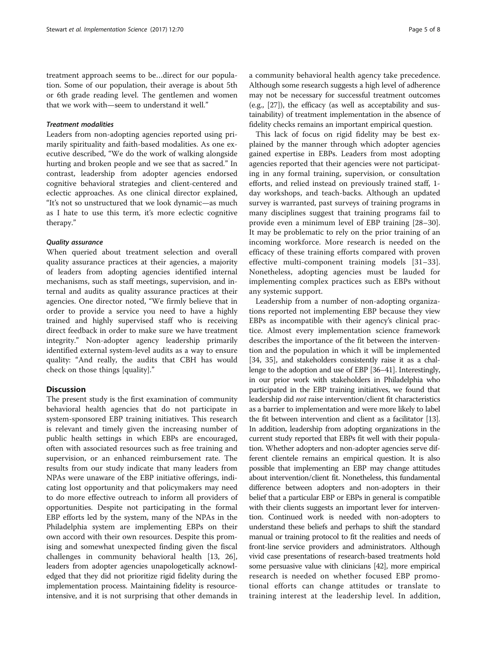treatment approach seems to be…direct for our population. Some of our population, their average is about 5th or 6th grade reading level. The gentlemen and women that we work with—seem to understand it well."

#### Treatment modalities

Leaders from non-adopting agencies reported using primarily spirituality and faith-based modalities. As one executive described, "We do the work of walking alongside hurting and broken people and we see that as sacred." In contrast, leadership from adopter agencies endorsed cognitive behavioral strategies and client-centered and eclectic approaches. As one clinical director explained, "It's not so unstructured that we look dynamic—as much as I hate to use this term, it's more eclectic cognitive therapy."

#### Quality assurance

When queried about treatment selection and overall quality assurance practices at their agencies, a majority of leaders from adopting agencies identified internal mechanisms, such as staff meetings, supervision, and internal and audits as quality assurance practices at their agencies. One director noted, "We firmly believe that in order to provide a service you need to have a highly trained and highly supervised staff who is receiving direct feedback in order to make sure we have treatment integrity." Non-adopter agency leadership primarily identified external system-level audits as a way to ensure quality: "And really, the audits that CBH has would check on those things [quality]."

#### **Discussion**

The present study is the first examination of community behavioral health agencies that do not participate in system-sponsored EBP training initiatives. This research is relevant and timely given the increasing number of public health settings in which EBPs are encouraged, often with associated resources such as free training and supervision, or an enhanced reimbursement rate. The results from our study indicate that many leaders from NPAs were unaware of the EBP initiative offerings, indicating lost opportunity and that policymakers may need to do more effective outreach to inform all providers of opportunities. Despite not participating in the formal EBP efforts led by the system, many of the NPAs in the Philadelphia system are implementing EBPs on their own accord with their own resources. Despite this promising and somewhat unexpected finding given the fiscal challenges in community behavioral health [[13, 26](#page-8-0)], leaders from adopter agencies unapologetically acknowledged that they did not prioritize rigid fidelity during the implementation process. Maintaining fidelity is resourceintensive, and it is not surprising that other demands in a community behavioral health agency take precedence. Although some research suggests a high level of adherence may not be necessary for successful treatment outcomes (e.g., [\[27\]](#page-8-0)), the efficacy (as well as acceptability and sustainability) of treatment implementation in the absence of fidelity checks remains an important empirical question.

This lack of focus on rigid fidelity may be best explained by the manner through which adopter agencies gained expertise in EBPs. Leaders from most adopting agencies reported that their agencies were not participating in any formal training, supervision, or consultation efforts, and relied instead on previously trained staff, 1 day workshops, and teach-backs. Although an updated survey is warranted, past surveys of training programs in many disciplines suggest that training programs fail to provide even a minimum level of EBP training [[28](#page-8-0)–[30](#page-8-0)]. It may be problematic to rely on the prior training of an incoming workforce. More research is needed on the efficacy of these training efforts compared with proven effective multi-component training models [\[31](#page-8-0)–[33](#page-8-0)]. Nonetheless, adopting agencies must be lauded for implementing complex practices such as EBPs without any systemic support.

Leadership from a number of non-adopting organizations reported not implementing EBP because they view EBPs as incompatible with their agency's clinical practice. Almost every implementation science framework describes the importance of the fit between the intervention and the population in which it will be implemented [[34, 35](#page-8-0)], and stakeholders consistently raise it as a challenge to the adoption and use of EBP [[36](#page-8-0)–[41](#page-8-0)]. Interestingly, in our prior work with stakeholders in Philadelphia who participated in the EBP training initiatives, we found that leadership did not raise intervention/client fit characteristics as a barrier to implementation and were more likely to label the fit between intervention and client as a facilitator [\[13](#page-8-0)]. In addition, leadership from adopting organizations in the current study reported that EBPs fit well with their population. Whether adopters and non-adopter agencies serve different clientele remains an empirical question. It is also possible that implementing an EBP may change attitudes about intervention/client fit. Nonetheless, this fundamental difference between adopters and non-adopters in their belief that a particular EBP or EBPs in general is compatible with their clients suggests an important lever for intervention. Continued work is needed with non-adopters to understand these beliefs and perhaps to shift the standard manual or training protocol to fit the realities and needs of front-line service providers and administrators. Although vivid case presentations of research-based treatments hold some persuasive value with clinicians [\[42](#page-8-0)], more empirical research is needed on whether focused EBP promotional efforts can change attitudes or translate to training interest at the leadership level. In addition,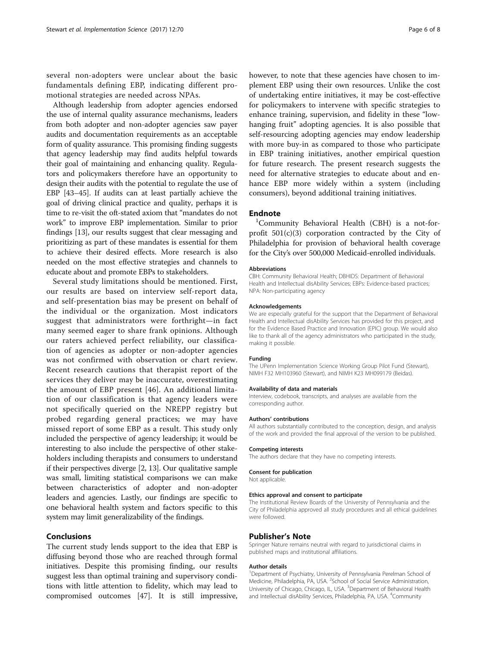several non-adopters were unclear about the basic fundamentals defining EBP, indicating different promotional strategies are needed across NPAs.

Although leadership from adopter agencies endorsed the use of internal quality assurance mechanisms, leaders from both adopter and non-adopter agencies saw payer audits and documentation requirements as an acceptable form of quality assurance. This promising finding suggests that agency leadership may find audits helpful towards their goal of maintaining and enhancing quality. Regulators and policymakers therefore have an opportunity to design their audits with the potential to regulate the use of EBP [[43](#page-9-0)–[45\]](#page-9-0). If audits can at least partially achieve the goal of driving clinical practice and quality, perhaps it is time to re-visit the oft-stated axiom that "mandates do not work" to improve EBP implementation. Similar to prior findings [[13](#page-8-0)], our results suggest that clear messaging and prioritizing as part of these mandates is essential for them to achieve their desired effects. More research is also needed on the most effective strategies and channels to educate about and promote EBPs to stakeholders.

Several study limitations should be mentioned. First, our results are based on interview self-report data, and self-presentation bias may be present on behalf of the individual or the organization. Most indicators suggest that administrators were forthright—in fact many seemed eager to share frank opinions. Although our raters achieved perfect reliability, our classification of agencies as adopter or non-adopter agencies was not confirmed with observation or chart review. Recent research cautions that therapist report of the services they deliver may be inaccurate, overestimating the amount of EBP present [[46](#page-9-0)]. An additional limitation of our classification is that agency leaders were not specifically queried on the NREPP registry but probed regarding general practices; we may have missed report of some EBP as a result. This study only included the perspective of agency leadership; it would be interesting to also include the perspective of other stakeholders including therapists and consumers to understand if their perspectives diverge [\[2](#page-8-0), [13](#page-8-0)]. Our qualitative sample was small, limiting statistical comparisons we can make between characteristics of adopter and non-adopter leaders and agencies. Lastly, our findings are specific to one behavioral health system and factors specific to this system may limit generalizability of the findings.

#### Conclusions

The current study lends support to the idea that EBP is diffusing beyond those who are reached through formal initiatives. Despite this promising finding, our results suggest less than optimal training and supervisory conditions with little attention to fidelity, which may lead to compromised outcomes [\[47\]](#page-9-0). It is still impressive, however, to note that these agencies have chosen to implement EBP using their own resources. Unlike the cost of undertaking entire initiatives, it may be cost-effective for policymakers to intervene with specific strategies to enhance training, supervision, and fidelity in these "lowhanging fruit" adopting agencies. It is also possible that self-resourcing adopting agencies may endow leadership with more buy-in as compared to those who participate in EBP training initiatives, another empirical question for future research. The present research suggests the need for alternative strategies to educate about and enhance EBP more widely within a system (including consumers), beyond additional training initiatives.

#### **Endnote**

<sup>1</sup>Community Behavioral Health (CBH) is a not-forprofit  $501(c)(3)$  corporation contracted by the City of Philadelphia for provision of behavioral health coverage for the City's over 500,000 Medicaid-enrolled individuals.

#### Abbreviations

CBH: Community Behavioral Health; DBHIDS: Department of Behavioral Health and Intellectual disAbility Services; EBPs: Evidence-based practices; NPA: Non-participating agency

#### Acknowledgements

We are especially grateful for the support that the Department of Behavioral Health and Intellectual disAbility Services has provided for this project, and for the Evidence Based Practice and Innovation (EPIC) group. We would also like to thank all of the agency administrators who participated in the study, making it possible.

#### Funding

The UPenn Implementation Science Working Group Pilot Fund (Stewart), NIMH F32 MH103960 (Stewart), and NIMH K23 MH099179 (Beidas).

#### Availability of data and materials

Interview, codebook, transcripts, and analyses are available from the corresponding author.

#### Authors' contributions

All authors substantially contributed to the conception, design, and analysis of the work and provided the final approval of the version to be published.

#### Competing interests

The authors declare that they have no competing interests.

# Consent for publication

Not applicable.

#### Ethics approval and consent to participate

The Institutional Review Boards of the University of Pennsylvania and the City of Philadelphia approved all study procedures and all ethical guidelines were followed.

#### Publisher's Note

Springer Nature remains neutral with regard to jurisdictional claims in published maps and institutional affiliations.

#### Author details

<sup>1</sup>Department of Psychiatry, University of Pennsylvania Perelman School of Medicine, Philadelphia, PA, USA. <sup>2</sup>School of Social Service Administration University of Chicago, Chicago, IL, USA. <sup>3</sup> Department of Behavioral Health and Intellectual disAbility Services, Philadelphia, PA, USA. <sup>4</sup>Community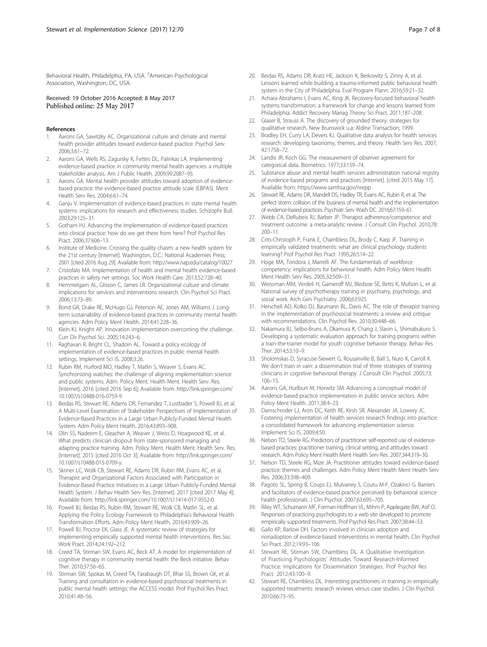<span id="page-8-0"></span>Behavioral Health, Philadelphia, PA, USA. <sup>5</sup>American Psychological Association, Washington, DC, USA.

#### Received: 19 October 2016 Accepted: 8 May 2017 Published online: 25 May 2017

#### References

- 1. Aarons GA, Sawitzky AC. Organizational culture and climate and mental health provider attitudes toward evidence-based practice. Psychol Serv. 2006;3:61–72.
- 2. Aarons GA, Wells RS, Zagursky K, Fettes DL, Palinkas LA. Implementing evidence-based practice in community mental health agencies: a multiple stakeholder analysis. Am J Public Health. 2009;99:2087–95.
- 3. Aarons GA. Mental health provider attitudes toward adoption of evidencebased practice: the evidence-based practice attitude scale (EBPAS). Ment Health Serv Res. 2004;6:61–74.
- 4. Ganju V. Implementation of evidence-based practices in state mental health systems: implications for research and effectiveness studies. Schizophr Bull. 2003;29:125–31.
- 5. Gotham HJ. Advancing the implementation of evidence-based practices into clinical practice: how do we get there from here? Prof Psychol Res Pract. 2006;37:606–13.
- Institute of Medicine. Crossing the quality chasm: a new health system for the 21st century [Internet]. Washington, D.C.: National Academies Press; 2001 [cited 2016 Aug 29]. Available from:<http://www.nap.edu/catalog/10027>
- 7. Cristofalo MA. Implementation of health and mental health evidence-based practices in safety net settings. Soc Work Health Care. 2013;52:728–40.
- 8. Hemmelgarn AL, Glisson C, James LR. Organizational culture and climate: implications for services and interventions research. Clin Psychol Sci Pract. 2006;13:73–89.
- 9. Bond GR, Drake RE, McHugo GJ, Peterson AE, Jones AM, Williams J. Longterm sustainability of evidence-based practices in community mental health agencies. Adm Policy Ment Health. 2014;41:228–36.
- 10. Klein KJ, Knight AP. Innovation implementation overcoming the challenge. Curr Dir Psychol Sci. 2005;14:243–6.
- 11. Raghavan R, Bright CL, Shadoin AL. Toward a policy ecology of implementation of evidence-based practices in public mental health settings. Implement Sci IS. 2008;3:26.
- 12. Rubin RM, Hurford MO, Hadley T, Matlin S, Weaver S, Evans AC. Synchronizing watches: the challenge of aligning implementation science and public systems. Adm. Policy Ment. Health Ment. Health Serv. Res. [Internet]. 2016 [cited 2016 Sep 6]; Available from: http://link.springer.com/ [10.1007/s10488-016-0759-9](http://dx.doi.org/10.1007/s10488-016-0759-9)
- 13. Beidas RS, Stewart RE, Adams DR, Fernandez T, Lustbader S, Powell BJ, et al. A Multi-Level Examination of Stakeholder Perspectives of Implementation of Evidence-Based Practices in a Large Urban Publicly-Funded Mental Health System. Adm Policy Ment Health. 2016;43:893–908.
- 14. Olin SS, Nadeem E, Gleacher A, Weaver J, Weiss D, Hoagwood KE, et al. What predicts clinician dropout from state-sponsored managing and adapting practice training. Adm. Policy Ment. Health Ment. Health Serv. Res. [Internet]. 2015 [cited 2016 Oct 3]; Available from: http://link.springer.com/ [10.1007/s10488-015-0709-y.](http://dx.doi.org/10.1007/s10488-015-0709-y)
- 15. Skriner LC, Wolk CB, Stewart RE, Adams DR, Rubin RM, Evans AC, et al. Therapist and Organizational Factors Associated with Participation in Evidence-Based Practice Initiatives in a Large Urban Publicly-Funded Mental Health System. J Behav Health Serv Res. [Internet]. 2017 [cited 2017 May 4]; Available from: [http://link.springer.com/10.1007/s11414-017-9552-0.](http://link.springer.com/10.1007/s11414-017-9552-0)
- 16. Powell BJ, Beidas RS, Rubin RM, Stewart RE, Wolk CB, Matlin SL, et al. Applying the Policy Ecology Framework to Philadelphia's Behavioral Health Transformation Efforts. Adm Policy Ment Health. 2016;43:909–26.
- 17. Powell BJ, Proctor EK, Glass JE. A systematic review of strategies for implementing empirically supported mental health interventions. Res Soc Work Pract. 2014;24:192–212.
- 18. Creed TA, Stirman SW, Evans AC, Beck AT. A model for implementation of cognitive therapy in community mental health: the Beck initiative. Behav Ther. 2010;37:56–65.
- 19. Stirman SW, Spokas M, Creed TA, Farabaugh DT, Bhar SS, Brown GK, et al. Training and consultation in evidence-based psychosocial treatments in public mental health settings: the ACCESS model. Prof Psychol Res Pract. 2010;41:48–56.
- 20. Beidas RS, Adams DR, Kratz HE, Jackson K, Berkowitz S, Zinny A, et al. Lessons learned while building a trauma-informed public behavioral health system in the City of Philadelphia. Eval Program Plann. 2016;59:21–32.
- 21. Achara-Abrahams I, Evans AC, King JK. Recovery-focused behavioral health systems transformation: a framework for change and lessons learned from Philadelphia. Addict Recovery Manag Theory Sci Pract. 2011;187–208.
- 22. Glaser B, Strauss A. The discovery of grounded theory: strategies for qualitative research. New Brunswick u.a: Aldine Transaction; 1999.
- 23. Bradley EH, Curry LA, Devers KJ. Qualitative data analysis for health services research: developing taxonomy, themes, and theory. Health Serv Res. 2007; 42:1758–72.
- 24. Landis JR, Koch GG. The measurement of observer agreement for categorical data. Biometrics. 1977;33:159–74.
- 25. Substance abuse and mental health services administration national registry of evidence-based programs and practices [Internet]. [cited 2015 May 17]. Available from:<https://www.samhsa.gov/nrepp>
- 26. Stewart RE, Adams DR, Mandell DS, Hadley TR, Evans AC, Rubin R, et al. The perfect storm: collision of the business of mental health and the implementation of evidence-based practices. Psychiatr Serv Wash DC. 2016;67:159–61.
- 27. Webb CA, DeRubeis RJ, Barber JP. Therapist adherence/competence and treatment outcome: a meta-analytic review. J Consult Clin Psychol. 2010;78: 200–11.
- 28. Crits-Christoph P, Frank E, Chambless DL, Brody C, Karp JF. Training in empirically validated treatments: what are clinical psychology students learning? Prof Psychol Res Pract. 1995;26:514–22.
- 29. Hoge MA, Tondora J, Marrelli AF. The fundamentals of workforce competency: implications for behavioral health. Adm Policy Ment Health Ment Health Serv Res. 2005;32:509–31.
- 30. Weissman MM, Verdeli H, Gameroff MJ, Bledsoe SE, Betts K, Mufson L, et al. National survey of psychotherapy training in psychiatry, psychology, and social work. Arch Gen Psychiatry. 2006;63:925.
- 31. Herschell AD, Kolko DJ, Baumann BL, Davis AC. The role of therapist training in the implementation of psychosocial treatments: a review and critique with recommendations. Clin Psychol Rev. 2010;30:448–66.
- 32. Nakamura BJ, Selbo-Bruns A, Okamura K, Chang J, Slavin L, Shimabukuro S. Developing a systematic evaluation approach for training programs within a train-the-trainer model for youth cognitive behavior therapy. Behav Res Ther. 2014;53:10–9.
- 33. Sholomskas D, Syracuse-Siewert G, Rousanville B, Ball S, Nuro K, Carroll K. We don't train in vain: a dissemination trial of three strategies of training clinicians in cognitive behavioral therapy. J Consult Clin Psychol. 2005;73: 106–15.
- 34. Aarons GA, Hurlburt M, Horwitz SM. Advancing a conceptual model of evidence-based practice implementation in public service sectors. Adm Policy Ment Health. 2011;38:4–23.
- 35. Damschroder LJ, Aron DC, Keith RE, Kirsh SR, Alexander JA, Lowery JC. Fostering implementation of health services research findings into practice: a consolidated framework for advancing implementation science. Implement Sci IS. 2009;4:50.
- 36. Nelson TD, Steele RG. Predictors of practitioner self-reported use of evidencebased practices: practitioner training, clinical setting, and attitudes toward research. Adm Policy Ment Health Ment Health Serv Res. 2007;344:319–30.
- 37. Nelson TD, Steele RG, Mize JA. Practitioner attitudes toward evidence-based practice: themes and challenges. Adm Policy Ment Health Ment Health Serv Res. 2006;33:398–409.
- 38. Pagoto SL, Spring B, Coups EJ, Mulvaney S, Coutu M-F, Ozakinci G. Barriers and facilitators of evidence-based practice perceived by behavioral science health professionals. J Clin Psychol. 2007;63:695–705.
- 39. Riley WT, Schumann MF, Forman-Hoffman VL, Mihm P, Applegate BW, Asif O. Responses of practicing psychologists to a web site developed to promote empirically supported treatments. Prof Psychol Res Pract. 2007;38:44–53.
- 40. Gallo KP, Barlow DH. Factors involved in clinician adoption and nonadoption of evidence-based interventions in mental health. Clin Psychol Sci Pract. 2012;19:93–106.
- 41. Stewart RE, Stirman SW, Chambless DL. A Qualitative Investigation of Practicing Psychologists' Attitudes Toward Research-Informed Practice: Implications for Dissemination Strategies. Prof Psychol Res Pract. 2012;43:100–9.
- 42. Stewart RE, Chambless DL. Interesting practitioners in training in empirically supported treatments: research reviews versus case studies. J Clin Psychol. 2010;66:73–95.